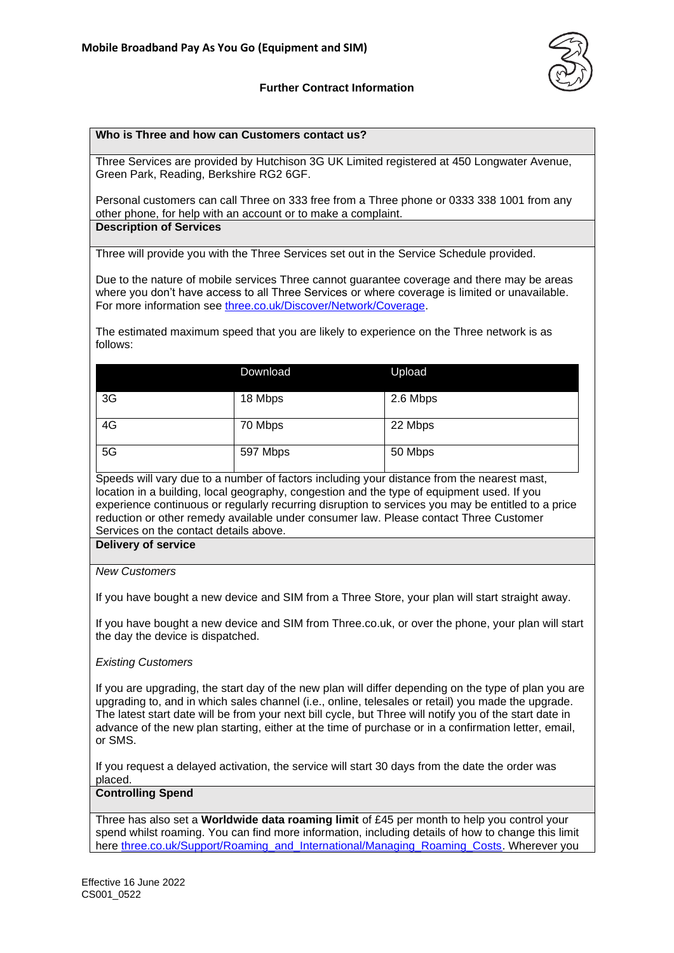

## **Further Contract Information**

#### **Who is Three and how can Customers contact us?**

Three Services are provided by Hutchison 3G UK Limited registered at 450 Longwater Avenue, Green Park, Reading, Berkshire RG2 6GF.

Personal customers can call Three on 333 free from a Three phone or 0333 338 1001 from any other phone, for help with an account or to make a complaint. **Description of Services**

Three will provide you with the Three Services set out in the Service Schedule provided.

Due to the nature of mobile services Three cannot guarantee coverage and there may be areas where you don't have access to all Three Services or where coverage is limited or unavailable. For more information see [three.co.uk/Discover/Network/Coverage.](http://www.three.co.uk/Discover/Network/Coverage)

The estimated maximum speed that you are likely to experience on the Three network is as follows:

|    | Download | Upload   |
|----|----------|----------|
| 3G | 18 Mbps  | 2.6 Mbps |
| 4G | 70 Mbps  | 22 Mbps  |
| 5G | 597 Mbps | 50 Mbps  |

Speeds will vary due to a number of factors including your distance from the nearest mast, location in a building, local geography, congestion and the type of equipment used. If you experience continuous or regularly recurring disruption to services you may be entitled to a price reduction or other remedy available under consumer law. Please contact Three Customer Services on the contact details above.

### **Delivery of service**

#### *New Customers*

If you have bought a new device and SIM from a Three Store, your plan will start straight away.

If you have bought a new device and SIM from Three.co.uk, or over the phone, your plan will start the day the device is dispatched.

#### *Existing Customers*

If you are upgrading, the start day of the new plan will differ depending on the type of plan you are upgrading to, and in which sales channel (i.e., online, telesales or retail) you made the upgrade. The latest start date will be from your next bill cycle, but Three will notify you of the start date in advance of the new plan starting, either at the time of purchase or in a confirmation letter, email, or SMS.

If you request a delayed activation, the service will start 30 days from the date the order was placed.

# **Controlling Spend**

Three has also set a **Worldwide data roaming limit** of £45 per month to help you control your spend whilst roaming. You can find more information, including details of how to change this limit here [three.co.uk/Support/Roaming\\_and\\_International/Managing\\_Roaming\\_Costs.](https://www.three.co.uk/Support/Roaming_and_International/Managing_Roaming_Costs) Wherever you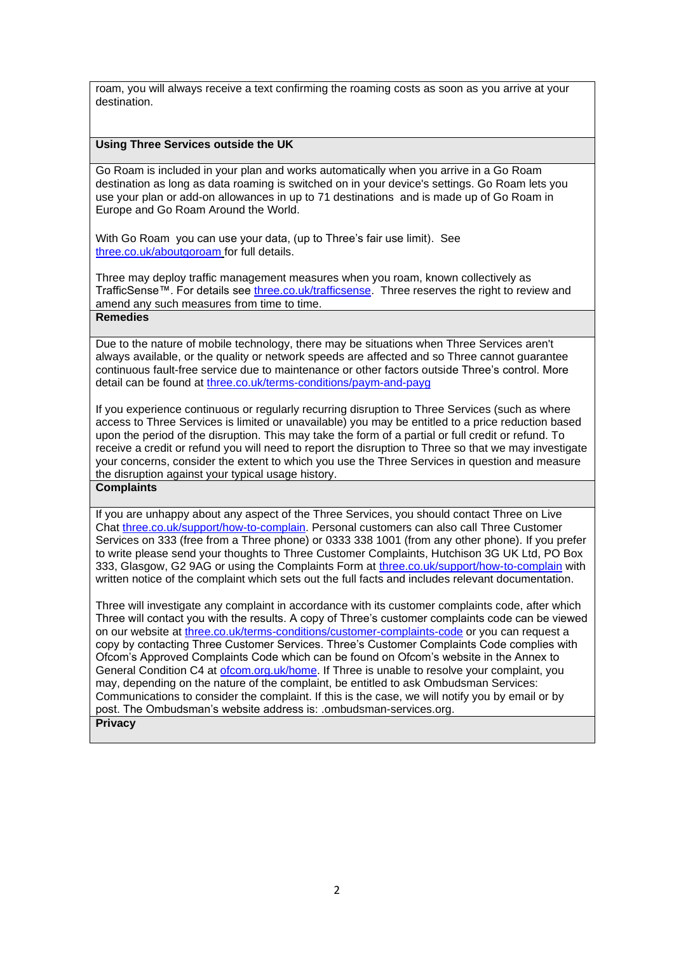roam, you will always receive a text confirming the roaming costs as soon as you arrive at your destination.

# **Using Three Services outside the UK**

Go Roam is included in your plan and works automatically when you arrive in a Go Roam destination as long as data roaming is switched on in your device's settings. Go Roam lets you use your plan or add-on allowances in up to 71 destinations and is made up of Go Roam in Europe and Go Roam Around the World.

With Go Roam you can use your data, (up to Three's fair use limit). See [three.co.uk/aboutgoroam](https://three.co.uk/aboutgoroam) for full details.

Three may deploy traffic management measures when you roam, known collectively as TrafficSense™. For details see [three.co.uk/trafficsense.](Three.co.uk/trafficsense) Three reserves the right to review and amend any such measures from time to time.

# **Remedies**

Due to the nature of mobile technology, there may be situations when Three Services aren't always available, or the quality or network speeds are affected and so Three cannot guarantee continuous fault-free service due to maintenance or other factors outside Three's control. More detail can be found at [three.co.uk/terms-conditions/paym-and-payg](https://www.three.co.uk/terms-conditions/paym-and-payg)

If you experience continuous or regularly recurring disruption to Three Services (such as where access to Three Services is limited or unavailable) you may be entitled to a price reduction based upon the period of the disruption. This may take the form of a partial or full credit or refund. To receive a credit or refund you will need to report the disruption to Three so that we may investigate your concerns, consider the extent to which you use the Three Services in question and measure the disruption against your typical usage history.

# **Complaints**

If you are unhappy about any aspect of the Three Services, you should contact Three on Live Chat [three.co.uk/support/how-to-complain.](http://www.three.co.uk/support/how-to-complain) Personal customers can also call Three Customer Services on 333 (free from a Three phone) or 0333 338 1001 (from any other phone). If you prefer to write please send your thoughts to Three Customer Complaints, Hutchison 3G UK Ltd, PO Box 333, Glasgow, G2 9AG or using the Complaints Form at [three.co.uk/support/how-to-complain](http://www.three.co.uk/support/how-to-complain) with written notice of the complaint which sets out the full facts and includes relevant documentation.

Three will investigate any complaint in accordance with its customer complaints code, after which Three will contact you with the results. A copy of Three's customer complaints code can be viewed on our website at [three.co.uk/terms-conditions/customer-complaints-code](http://www.three.co.uk/terms-conditions/customer-complaints-code) or you can request a copy by contacting Three Customer Services. Three's Customer Complaints Code complies with Ofcom's Approved Complaints Code which can be found on Ofcom's website in the Annex to General Condition C4 at [ofcom.org.uk/home.](https://www.ofcom.org.uk/home) If Three is unable to resolve your complaint, you may, depending on the nature of the complaint, be entitled to ask Ombudsman Services: Communications to consider the complaint. If this is the case, we will notify you by email or by post. The Ombudsman's website address is: [.ombudsman-services.org.](https://www.ombudsman-services.org/) **Privacy**